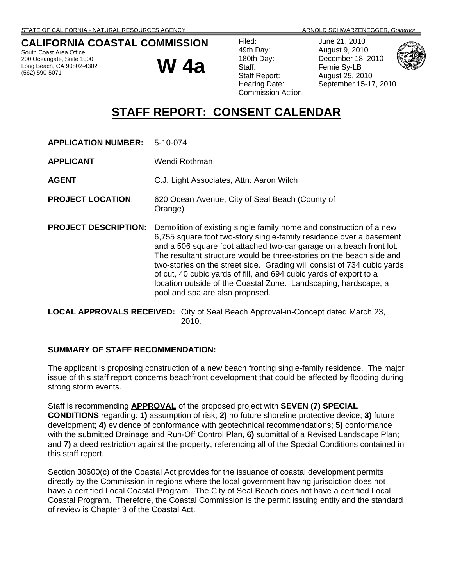### **CALIFORNIA COASTAL COMMISSION**

South Coast Area Office 200 Oceangate, Suite 1000 Long Beach, CA 90802-4302 (562) 590-5071

**W 4a**

June 21, 2010 August 9, 2010 December 18, 2010 Fernie Sy-LB August 25, 2010 September 15-17, 2010



# **STAFF REPORT: CONSENT CALENDAR**

| <b>APPLICATION NUMBER:</b>  | $5-10-074$                                                                                                                                                                                                                                                                                                                                                                                                                                                                                                                                       |
|-----------------------------|--------------------------------------------------------------------------------------------------------------------------------------------------------------------------------------------------------------------------------------------------------------------------------------------------------------------------------------------------------------------------------------------------------------------------------------------------------------------------------------------------------------------------------------------------|
| <b>APPLICANT</b>            | Wendi Rothman.                                                                                                                                                                                                                                                                                                                                                                                                                                                                                                                                   |
| <b>AGENT</b>                | C.J. Light Associates, Attn: Aaron Wilch                                                                                                                                                                                                                                                                                                                                                                                                                                                                                                         |
| <b>PROJECT LOCATION:</b>    | 620 Ocean Avenue, City of Seal Beach (County of<br>Orange)                                                                                                                                                                                                                                                                                                                                                                                                                                                                                       |
| <b>PROJECT DESCRIPTION:</b> | Demolition of existing single family home and construction of a new<br>6,755 square foot two-story single-family residence over a basement<br>and a 506 square foot attached two-car garage on a beach front lot.<br>The resultant structure would be three-stories on the beach side and<br>two-stories on the street side. Grading will consist of 734 cubic yards<br>of cut, 40 cubic yards of fill, and 694 cubic yards of export to a<br>location outside of the Coastal Zone. Landscaping, hardscape, a<br>pool and spa are also proposed. |

**LOCAL APPROVALS RECEIVED:** City of Seal Beach Approval-in-Concept dated March 23, 2010.

#### **SUMMARY OF STAFF RECOMMENDATION:**

The applicant is proposing construction of a new beach fronting single-family residence. The major issue of this staff report concerns beachfront development that could be affected by flooding during strong storm events.

Staff is recommending **APPROVAL** of the proposed project with **SEVEN (7) SPECIAL CONDITIONS** regarding: **1)** assumption of risk; **2)** no future shoreline protective device; **3)** future development; **4)** evidence of conformance with geotechnical recommendations; **5)** conformance with the submitted Drainage and Run-Off Control Plan, **6)** submittal of a Revised Landscape Plan; and **7)** a deed restriction against the property, referencing all of the Special Conditions contained in this staff report.

Section 30600(c) of the Coastal Act provides for the issuance of coastal development permits directly by the Commission in regions where the local government having jurisdiction does not have a certified Local Coastal Program. The City of Seal Beach does not have a certified Local Coastal Program. Therefore, the Coastal Commission is the permit issuing entity and the standard of review is Chapter 3 of the Coastal Act.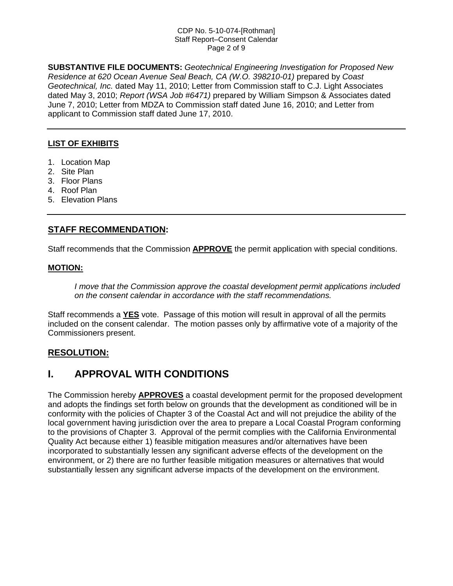#### CDP No. 5-10-074-[Rothman] Staff Report–Consent Calendar Page 2 of 9

**SUBSTANTIVE FILE DOCUMENTS:** *Geotechnical Engineering Investigation for Proposed New Residence at 620 Ocean Avenue Seal Beach, CA (W.O. 398210-01)* prepared by *Coast Geotechnical, Inc.* dated May 11, 2010; Letter from Commission staff to C.J. Light Associates dated May 3, 2010; *Report (WSA Job #6471)* prepared by William Simpson & Associates dated June 7, 2010; Letter from MDZA to Commission staff dated June 16, 2010; and Letter from applicant to Commission staff dated June 17, 2010.

#### **LIST OF EXHIBITS**

- 1. Location Map
- 2. Site Plan
- 3. Floor Plans
- 4. Roof Plan
- 5. Elevation Plans

#### **STAFF RECOMMENDATION:**

Staff recommends that the Commission **APPROVE** the permit application with special conditions.

#### **MOTION:**

*I move that the Commission approve the coastal development permit applications included on the consent calendar in accordance with the staff recommendations.*

Staff recommends a **YES** vote. Passage of this motion will result in approval of all the permits included on the consent calendar. The motion passes only by affirmative vote of a majority of the Commissioners present.

#### **RESOLUTION:**

## **I. APPROVAL WITH CONDITIONS**

The Commission hereby **APPROVES** a coastal development permit for the proposed development and adopts the findings set forth below on grounds that the development as conditioned will be in conformity with the policies of Chapter 3 of the Coastal Act and will not prejudice the ability of the local government having jurisdiction over the area to prepare a Local Coastal Program conforming to the provisions of Chapter 3. Approval of the permit complies with the California Environmental Quality Act because either 1) feasible mitigation measures and/or alternatives have been incorporated to substantially lessen any significant adverse effects of the development on the environment, or 2) there are no further feasible mitigation measures or alternatives that would substantially lessen any significant adverse impacts of the development on the environment.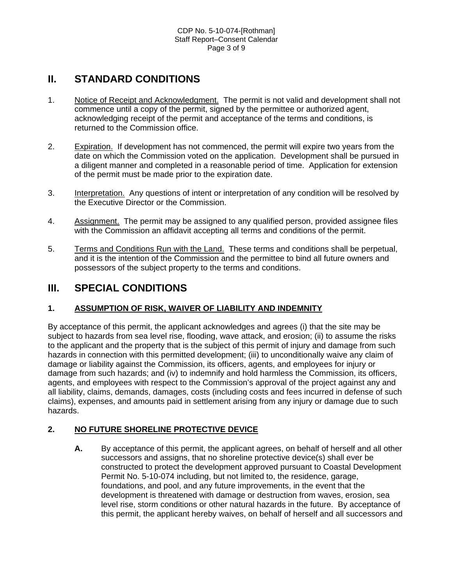## **II. STANDARD CONDITIONS**

- 1. Notice of Receipt and Acknowledgment. The permit is not valid and development shall not commence until a copy of the permit, signed by the permittee or authorized agent, acknowledging receipt of the permit and acceptance of the terms and conditions, is returned to the Commission office.
- 2. Expiration. If development has not commenced, the permit will expire two years from the date on which the Commission voted on the application. Development shall be pursued in a diligent manner and completed in a reasonable period of time. Application for extension of the permit must be made prior to the expiration date.
- 3. Interpretation. Any questions of intent or interpretation of any condition will be resolved by the Executive Director or the Commission.
- 4. Assignment. The permit may be assigned to any qualified person, provided assignee files with the Commission an affidavit accepting all terms and conditions of the permit.
- 5. Terms and Conditions Run with the Land. These terms and conditions shall be perpetual, and it is the intention of the Commission and the permittee to bind all future owners and possessors of the subject property to the terms and conditions.

## **III. SPECIAL CONDITIONS**

### **1. ASSUMPTION OF RISK, WAIVER OF LIABILITY AND INDEMNITY**

By acceptance of this permit, the applicant acknowledges and agrees (i) that the site may be subject to hazards from sea level rise, flooding, wave attack, and erosion; (ii) to assume the risks to the applicant and the property that is the subject of this permit of injury and damage from such hazards in connection with this permitted development; (iii) to unconditionally waive any claim of damage or liability against the Commission, its officers, agents, and employees for injury or damage from such hazards; and (iv) to indemnify and hold harmless the Commission, its officers, agents, and employees with respect to the Commission's approval of the project against any and all liability, claims, demands, damages, costs (including costs and fees incurred in defense of such claims), expenses, and amounts paid in settlement arising from any injury or damage due to such hazards.

### **2. NO FUTURE SHORELINE PROTECTIVE DEVICE**

**A.** By acceptance of this permit, the applicant agrees, on behalf of herself and all other successors and assigns, that no shoreline protective device(s) shall ever be constructed to protect the development approved pursuant to Coastal Development Permit No. 5-10-074 including, but not limited to, the residence, garage, foundations, and pool, and any future improvements, in the event that the development is threatened with damage or destruction from waves, erosion, sea level rise, storm conditions or other natural hazards in the future. By acceptance of this permit, the applicant hereby waives, on behalf of herself and all successors and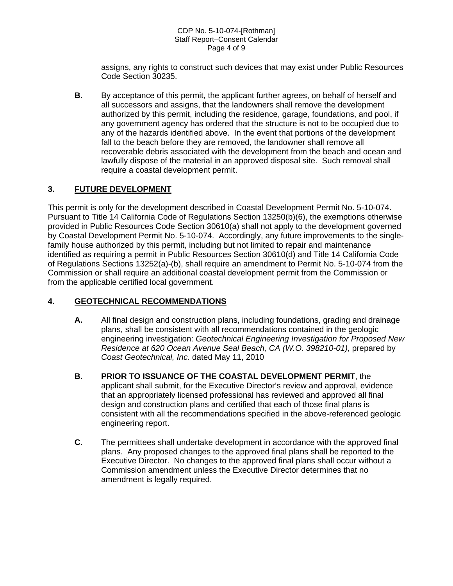#### CDP No. 5-10-074-[Rothman] Staff Report–Consent Calendar Page 4 of 9

assigns, any rights to construct such devices that may exist under Public Resources Code Section 30235.

**B.** By acceptance of this permit, the applicant further agrees, on behalf of herself and all successors and assigns, that the landowners shall remove the development authorized by this permit, including the residence, garage, foundations, and pool, if any government agency has ordered that the structure is not to be occupied due to any of the hazards identified above. In the event that portions of the development fall to the beach before they are removed, the landowner shall remove all recoverable debris associated with the development from the beach and ocean and lawfully dispose of the material in an approved disposal site. Such removal shall require a coastal development permit.

### **3. FUTURE DEVELOPMENT**

This permit is only for the development described in Coastal Development Permit No. 5-10-074. Pursuant to Title 14 California Code of Regulations Section 13250(b)(6), the exemptions otherwise provided in Public Resources Code Section 30610(a) shall not apply to the development governed by Coastal Development Permit No. 5-10-074. Accordingly, any future improvements to the singlefamily house authorized by this permit, including but not limited to repair and maintenance identified as requiring a permit in Public Resources Section 30610(d) and Title 14 California Code of Regulations Sections 13252(a)-(b), shall require an amendment to Permit No. 5-10-074 from the Commission or shall require an additional coastal development permit from the Commission or from the applicable certified local government.

#### **4. GEOTECHNICAL RECOMMENDATIONS**

- **A.** All final design and construction plans, including foundations, grading and drainage plans, shall be consistent with all recommendations contained in the geologic engineering investigation: *Geotechnical Engineering Investigation for Proposed New Residence at 620 Ocean Avenue Seal Beach, CA (W.O. 398210-01),* prepared by *Coast Geotechnical, Inc.* dated May 11, 2010
- **B. PRIOR TO ISSUANCE OF THE COASTAL DEVELOPMENT PERMIT**, the applicant shall submit, for the Executive Director's review and approval, evidence that an appropriately licensed professional has reviewed and approved all final design and construction plans and certified that each of those final plans is consistent with all the recommendations specified in the above-referenced geologic engineering report.
- **C.** The permittees shall undertake development in accordance with the approved final plans. Any proposed changes to the approved final plans shall be reported to the Executive Director. No changes to the approved final plans shall occur without a Commission amendment unless the Executive Director determines that no amendment is legally required.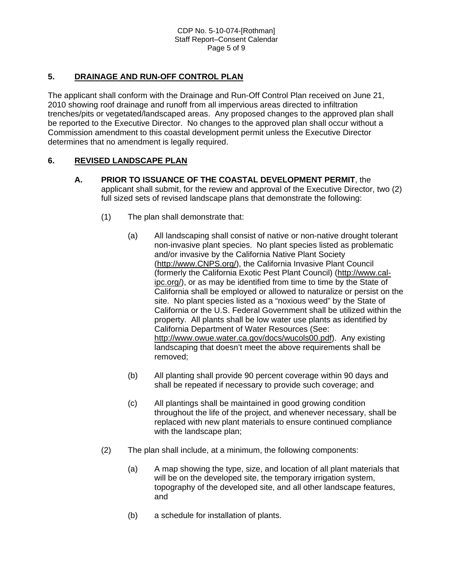#### **5. DRAINAGE AND RUN-OFF CONTROL PLAN**

The applicant shall conform with the Drainage and Run-Off Control Plan received on June 21, 2010 showing roof drainage and runoff from all impervious areas directed to infiltration trenches/pits or vegetated/landscaped areas. Any proposed changes to the approved plan shall be reported to the Executive Director. No changes to the approved plan shall occur without a Commission amendment to this coastal development permit unless the Executive Director determines that no amendment is legally required.

#### **6. REVISED LANDSCAPE PLAN**

- **A. PRIOR TO ISSUANCE OF THE COASTAL DEVELOPMENT PERMIT**, the applicant shall submit, for the review and approval of the Executive Director, two (2) full sized sets of revised landscape plans that demonstrate the following:
	- (1) The plan shall demonstrate that:
		- (a) All landscaping shall consist of native or non-native drought tolerant non-invasive plant species. No plant species listed as problematic and/or invasive by the California Native Plant Society [\(http://www.CNPS.org/](http://www.cnps.org/)), the California Invasive Plant Council (formerly the California Exotic Pest Plant Council) [\(http://www.cal](http://www.cal-ipc.org/)[ipc.org/\)](http://www.cal-ipc.org/), or as may be identified from time to time by the State of California shall be employed or allowed to naturalize or persist on the site. No plant species listed as a "noxious weed" by the State of California or the U.S. Federal Government shall be utilized within the property. All plants shall be low water use plants as identified by California Department of Water Resources (See: <http://www.owue.water.ca.gov/docs/wucols00.pdf>). Any existing landscaping that doesn't meet the above requirements shall be removed;
		- (b) All planting shall provide 90 percent coverage within 90 days and shall be repeated if necessary to provide such coverage; and
		- (c) All plantings shall be maintained in good growing condition throughout the life of the project, and whenever necessary, shall be replaced with new plant materials to ensure continued compliance with the landscape plan;
	- (2) The plan shall include, at a minimum, the following components:
		- (a) A map showing the type, size, and location of all plant materials that will be on the developed site, the temporary irrigation system, topography of the developed site, and all other landscape features, and
		- (b) a schedule for installation of plants.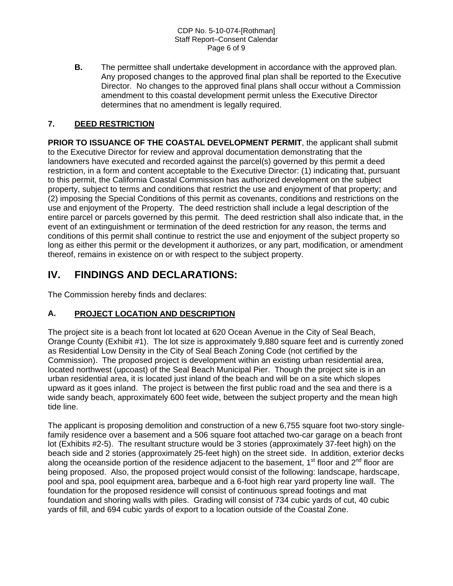CDP No. 5-10-074-[Rothman] Staff Report–Consent Calendar Page 6 of 9

**B.** The permittee shall undertake development in accordance with the approved plan. Any proposed changes to the approved final plan shall be reported to the Executive Director. No changes to the approved final plans shall occur without a Commission amendment to this coastal development permit unless the Executive Director determines that no amendment is legally required.

#### **7. DEED RESTRICTION**

**PRIOR TO ISSUANCE OF THE COASTAL DEVELOPMENT PERMIT**, the applicant shall submit to the Executive Director for review and approval documentation demonstrating that the landowners have executed and recorded against the parcel(s) governed by this permit a deed restriction, in a form and content acceptable to the Executive Director: (1) indicating that, pursuant to this permit, the California Coastal Commission has authorized development on the subject property, subject to terms and conditions that restrict the use and enjoyment of that property; and (2) imposing the Special Conditions of this permit as covenants, conditions and restrictions on the use and enjoyment of the Property. The deed restriction shall include a legal description of the entire parcel or parcels governed by this permit. The deed restriction shall also indicate that, in the event of an extinguishment or termination of the deed restriction for any reason, the terms and conditions of this permit shall continue to restrict the use and enjoyment of the subject property so long as either this permit or the development it authorizes, or any part, modification, or amendment thereof, remains in existence on or with respect to the subject property.

## **IV. FINDINGS AND DECLARATIONS:**

The Commission hereby finds and declares:

#### **A. PROJECT LOCATION AND DESCRIPTION**

The project site is a beach front lot located at 620 Ocean Avenue in the City of Seal Beach, Orange County (Exhibit #1). The lot size is approximately 9,880 square feet and is currently zoned as Residential Low Density in the City of Seal Beach Zoning Code (not certified by the Commission). The proposed project is development within an existing urban residential area, located northwest (upcoast) of the Seal Beach Municipal Pier. Though the project site is in an urban residential area, it is located just inland of the beach and will be on a site which slopes upward as it goes inland. The project is between the first public road and the sea and there is a wide sandy beach, approximately 600 feet wide, between the subject property and the mean high tide line.

The applicant is proposing demolition and construction of a new 6,755 square foot two-story singlefamily residence over a basement and a 506 square foot attached two-car garage on a beach front lot (Exhibits #2-5). The resultant structure would be 3 stories (approximately 37-feet high) on the beach side and 2 stories (approximately 25-feet high) on the street side. In addition, exterior decks along the oceanside portion of the residence adjacent to the basement, 1<sup>st</sup> floor and 2<sup>nd</sup> floor are being proposed. Also, the proposed project would consist of the following: landscape, hardscape, pool and spa, pool equipment area, barbeque and a 6-foot high rear yard property line wall. The foundation for the proposed residence will consist of continuous spread footings and mat foundation and shoring walls with piles. Grading will consist of 734 cubic yards of cut, 40 cubic yards of fill, and 694 cubic yards of export to a location outside of the Coastal Zone.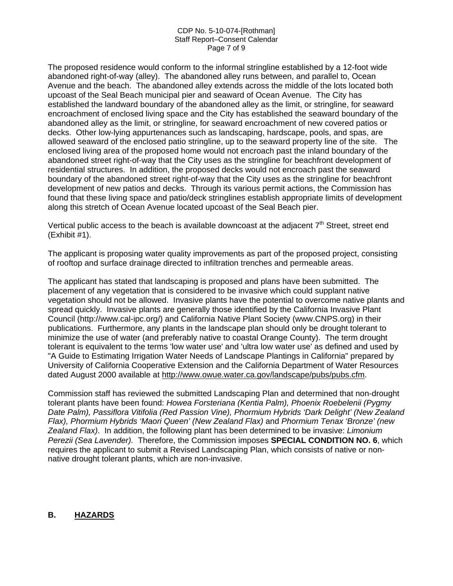#### CDP No. 5-10-074-[Rothman] Staff Report–Consent Calendar Page 7 of 9

The proposed residence would conform to the informal stringline established by a 12-foot wide abandoned right-of-way (alley). The abandoned alley runs between, and parallel to, Ocean Avenue and the beach. The abandoned alley extends across the middle of the lots located both upcoast of the Seal Beach municipal pier and seaward of Ocean Avenue. The City has established the landward boundary of the abandoned alley as the limit, or stringline, for seaward encroachment of enclosed living space and the City has established the seaward boundary of the abandoned alley as the limit, or stringline, for seaward encroachment of new covered patios or decks. Other low-lying appurtenances such as landscaping, hardscape, pools, and spas, are allowed seaward of the enclosed patio stringline, up to the seaward property line of the site. The enclosed living area of the proposed home would not encroach past the inland boundary of the abandoned street right-of-way that the City uses as the stringline for beachfront development of residential structures. In addition, the proposed decks would not encroach past the seaward boundary of the abandoned street right-of-way that the City uses as the stringline for beachfront development of new patios and decks. Through its various permit actions, the Commission has found that these living space and patio/deck stringlines establish appropriate limits of development along this stretch of Ocean Avenue located upcoast of the Seal Beach pier.

Vertical public access to the beach is available downcoast at the adjacent  $7<sup>th</sup>$  Street, street end (Exhibit #1).

The applicant is proposing water quality improvements as part of the proposed project, consisting of rooftop and surface drainage directed to infiltration trenches and permeable areas.

The applicant has stated that landscaping is proposed and plans have been submitted. The placement of any vegetation that is considered to be invasive which could supplant native vegetation should not be allowed. Invasive plants have the potential to overcome native plants and spread quickly. Invasive plants are generally those identified by the California Invasive Plant Council (http://www.cal-ipc.org/) and California Native Plant Society (www.CNPS.org) in their publications. Furthermore, any plants in the landscape plan should only be drought tolerant to minimize the use of water (and preferably native to coastal Orange County). The term drought tolerant is equivalent to the terms 'low water use' and 'ultra low water use' as defined and used by "A Guide to Estimating Irrigation Water Needs of Landscape Plantings in California" prepared by University of California Cooperative Extension and the California Department of Water Resources dated August 2000 available at [http://www.owue.water.ca.gov/landscape/pubs/pubs.cfm.](http://www.owue.water.ca.gov/landscape/pubs/pubs.cfm)

Commission staff has reviewed the submitted Landscaping Plan and determined that non-drought tolerant plants have been found: *Howea Forsteriana (Kentia Palm), Phoenix Roebelenii (Pygmy Date Palm), Passiflora Vitifolia (Red Passion Vine), Phormium Hybrids 'Dark Delight' (New Zealand Flax), Phormium Hybrids 'Maori Queen' (New Zealand Flax)* and *Phormium Tenax 'Bronze' (new Zealand Flax)*. In addition, the following plant has been determined to be invasive: *Limonium Perezii (Sea Lavender).* Therefore, the Commission imposes **SPECIAL CONDITION NO. 6**, which requires the applicant to submit a Revised Landscaping Plan, which consists of native or nonnative drought tolerant plants, which are non-invasive.

#### **B. HAZARDS**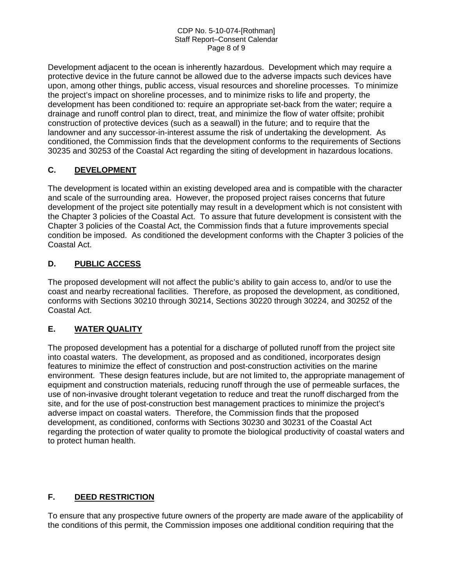#### CDP No. 5-10-074-[Rothman] Staff Report–Consent Calendar Page 8 of 9

Development adjacent to the ocean is inherently hazardous. Development which may require a protective device in the future cannot be allowed due to the adverse impacts such devices have upon, among other things, public access, visual resources and shoreline processes. To minimize the project's impact on shoreline processes, and to minimize risks to life and property, the development has been conditioned to: require an appropriate set-back from the water; require a drainage and runoff control plan to direct, treat, and minimize the flow of water offsite; prohibit construction of protective devices (such as a seawall) in the future; and to require that the landowner and any successor-in-interest assume the risk of undertaking the development. As conditioned, the Commission finds that the development conforms to the requirements of Sections 30235 and 30253 of the Coastal Act regarding the siting of development in hazardous locations.

### **C. DEVELOPMENT**

The development is located within an existing developed area and is compatible with the character and scale of the surrounding area. However, the proposed project raises concerns that future development of the project site potentially may result in a development which is not consistent with the Chapter 3 policies of the Coastal Act. To assure that future development is consistent with the Chapter 3 policies of the Coastal Act, the Commission finds that a future improvements special condition be imposed. As conditioned the development conforms with the Chapter 3 policies of the Coastal Act.

### **D. PUBLIC ACCESS**

The proposed development will not affect the public's ability to gain access to, and/or to use the coast and nearby recreational facilities. Therefore, as proposed the development, as conditioned, conforms with Sections 30210 through 30214, Sections 30220 through 30224, and 30252 of the Coastal Act.

## **E. WATER QUALITY**

The proposed development has a potential for a discharge of polluted runoff from the project site into coastal waters. The development, as proposed and as conditioned, incorporates design features to minimize the effect of construction and post-construction activities on the marine environment. These design features include, but are not limited to, the appropriate management of equipment and construction materials, reducing runoff through the use of permeable surfaces, the use of non-invasive drought tolerant vegetation to reduce and treat the runoff discharged from the site, and for the use of post-construction best management practices to minimize the project's adverse impact on coastal waters. Therefore, the Commission finds that the proposed development, as conditioned, conforms with Sections 30230 and 30231 of the Coastal Act regarding the protection of water quality to promote the biological productivity of coastal waters and to protect human health.

## **F. DEED RESTRICTION**

To ensure that any prospective future owners of the property are made aware of the applicability of the conditions of this permit, the Commission imposes one additional condition requiring that the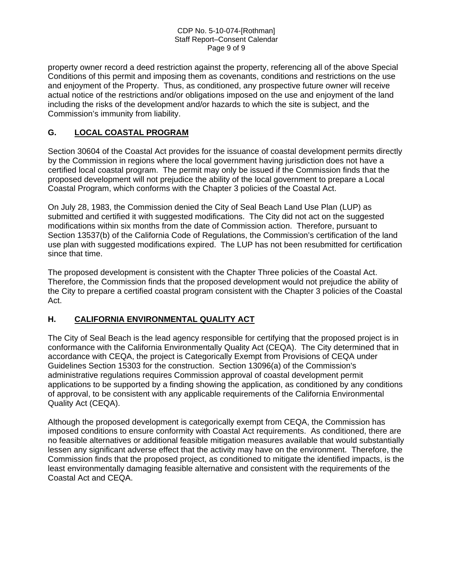#### CDP No. 5-10-074-[Rothman] Staff Report–Consent Calendar Page 9 of 9

property owner record a deed restriction against the property, referencing all of the above Special Conditions of this permit and imposing them as covenants, conditions and restrictions on the use and enjoyment of the Property. Thus, as conditioned, any prospective future owner will receive actual notice of the restrictions and/or obligations imposed on the use and enjoyment of the land including the risks of the development and/or hazards to which the site is subject, and the Commission's immunity from liability.

#### **G. LOCAL COASTAL PROGRAM**

Section 30604 of the Coastal Act provides for the issuance of coastal development permits directly by the Commission in regions where the local government having jurisdiction does not have a certified local coastal program. The permit may only be issued if the Commission finds that the proposed development will not prejudice the ability of the local government to prepare a Local Coastal Program, which conforms with the Chapter 3 policies of the Coastal Act.

On July 28, 1983, the Commission denied the City of Seal Beach Land Use Plan (LUP) as submitted and certified it with suggested modifications. The City did not act on the suggested modifications within six months from the date of Commission action. Therefore, pursuant to Section 13537(b) of the California Code of Regulations, the Commission's certification of the land use plan with suggested modifications expired. The LUP has not been resubmitted for certification since that time.

The proposed development is consistent with the Chapter Three policies of the Coastal Act. Therefore, the Commission finds that the proposed development would not prejudice the ability of the City to prepare a certified coastal program consistent with the Chapter 3 policies of the Coastal Act.

#### **H. CALIFORNIA ENVIRONMENTAL QUALITY ACT**

The City of Seal Beach is the lead agency responsible for certifying that the proposed project is in conformance with the California Environmentally Quality Act (CEQA). The City determined that in accordance with CEQA, the project is Categorically Exempt from Provisions of CEQA under Guidelines Section 15303 for the construction. Section 13096(a) of the Commission's administrative regulations requires Commission approval of coastal development permit applications to be supported by a finding showing the application, as conditioned by any conditions of approval, to be consistent with any applicable requirements of the California Environmental Quality Act (CEQA).

Although the proposed development is categorically exempt from CEQA, the Commission has imposed conditions to ensure conformity with Coastal Act requirements. As conditioned, there are no feasible alternatives or additional feasible mitigation measures available that would substantially lessen any significant adverse effect that the activity may have on the environment. Therefore, the Commission finds that the proposed project, as conditioned to mitigate the identified impacts, is the least environmentally damaging feasible alternative and consistent with the requirements of the Coastal Act and CEQA.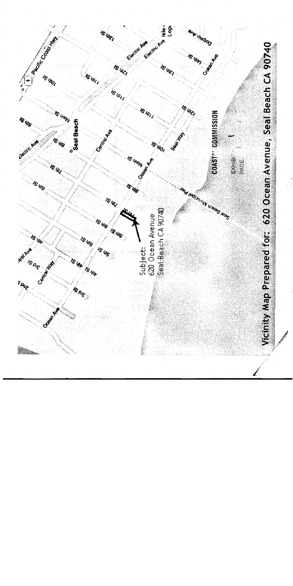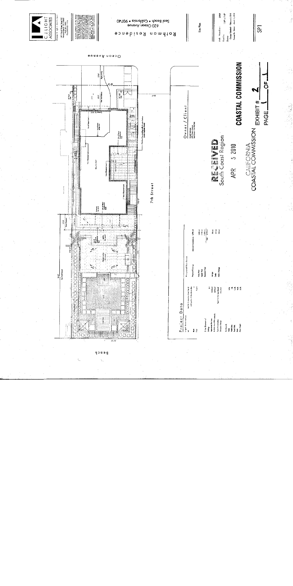

yooog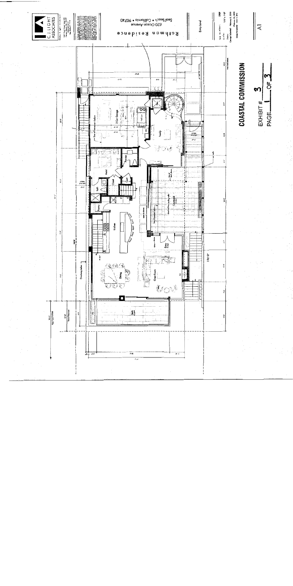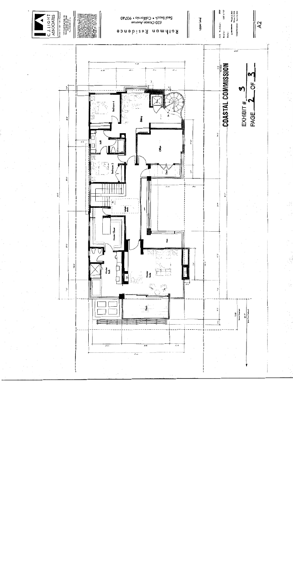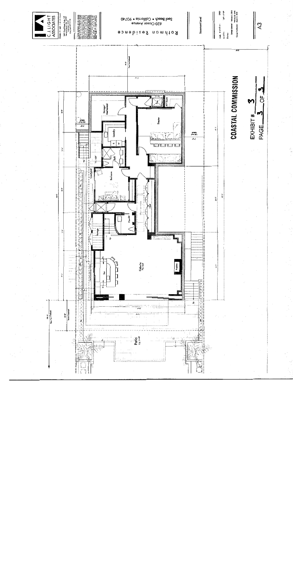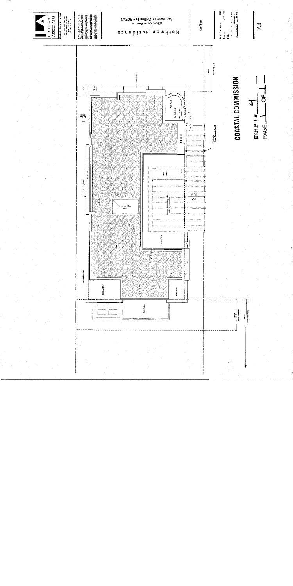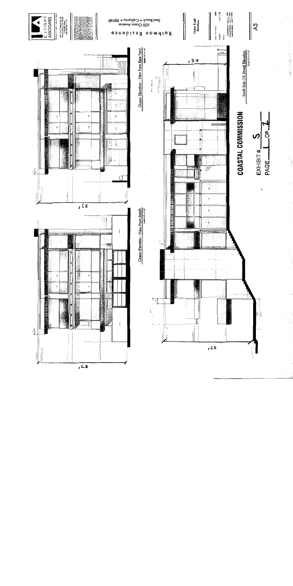

医慢性白细胞